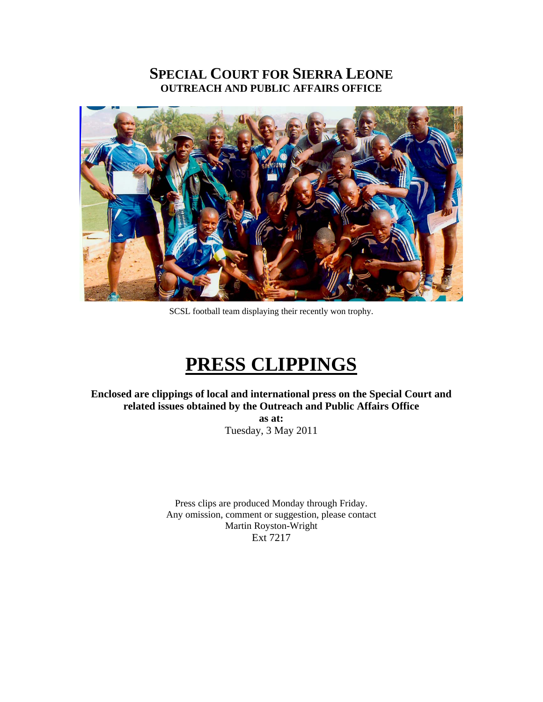## **SPECIAL COURT FOR SIERRA LEONE OUTREACH AND PUBLIC AFFAIRS OFFICE**



SCSL football team displaying their recently won trophy.

## **PRESS CLIPPINGS**

**Enclosed are clippings of local and international press on the Special Court and related issues obtained by the Outreach and Public Affairs Office** 

> **as at:**  Tuesday, 3 May 2011

Press clips are produced Monday through Friday. Any omission, comment or suggestion, please contact Martin Royston-Wright Ext 7217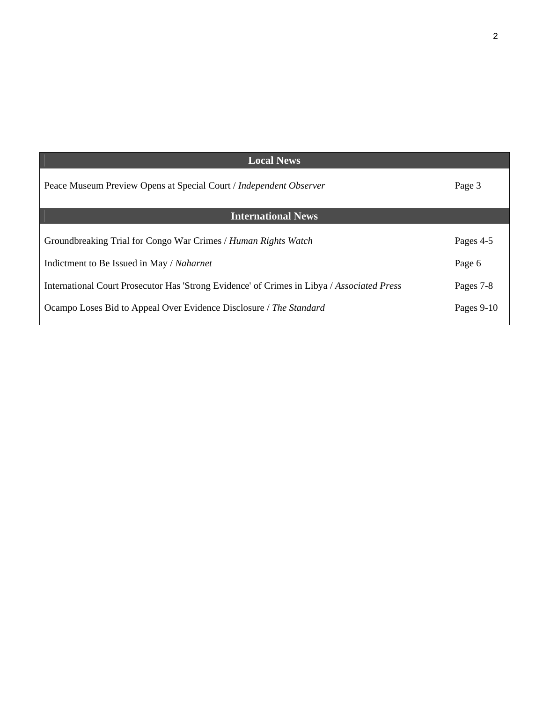| <b>Local News</b>                                                                          |            |
|--------------------------------------------------------------------------------------------|------------|
| Peace Museum Preview Opens at Special Court / Independent Observer                         | Page 3     |
| <b>International News</b>                                                                  |            |
| Groundbreaking Trial for Congo War Crimes / Human Rights Watch                             | Pages 4-5  |
| Indictment to Be Issued in May / Naharnet                                                  | Page 6     |
| International Court Prosecutor Has 'Strong Evidence' of Crimes in Libya / Associated Press | Pages 7-8  |
| Ocampo Loses Bid to Appeal Over Evidence Disclosure / The Standard                         | Pages 9-10 |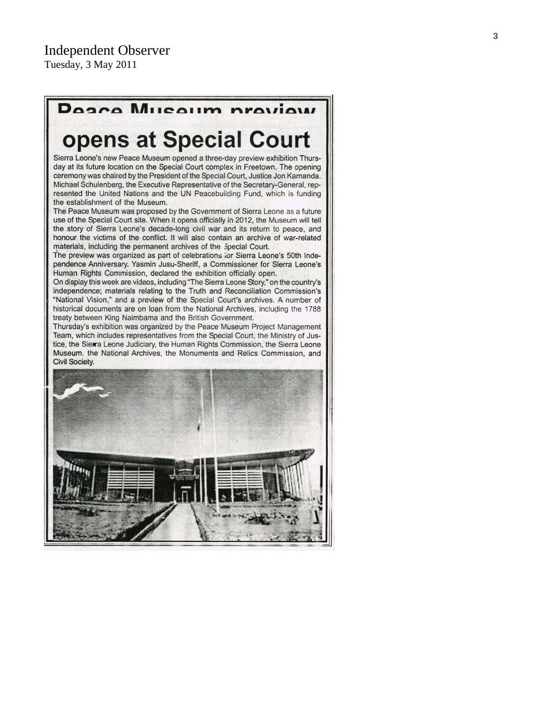## Posco Museum proview

# opens at Special Court

Sierra Leone's new Peace Museum opened a three-day preview exhibition Thursday at its future location on the Special Court complex in Freetown. The opening ceremony was chaired by the President of the Special Court, Justice Jon Kamanda. Michael Schulenberg, the Executive Representative of the Secretary-General, represented the United Nations and the UN Peacebuilding Fund, which is funding the establishment of the Museum.

The Peace Museum was proposed by the Government of Sierra Leone as a future use of the Special Court site. When it opens officially in 2012, the Museum will tell the story of Sierra Leone's decade-long civil war and its return to peace, and honour the victims of the conflict. It will also contain an archive of war-related materials, including the permanent archives of the Special Court.

The preview was organized as part of celebrations for Sierra Leone's 50th Independence Anniversary. Yasmin Jusu-Sheriff, a Commissioner for Sierra Leone's Human Rights Commission, declared the exhibition officially open.

On display this week are videos, including "The Sierra Leone Story," on the country's independence; materials relating to the Truth and Reconciliation Commission's "National Vision," and a preview of the Special Court's archives. A number of historical documents are on loan from the National Archives, including the 1788 treaty between King Naimbama and the British Government.

Thursday's exhibition was organized by the Peace Museum Project Management Team, which includes representatives from the Special Court, the Ministry of Justice, the Sierra Leone Judiciary, the Human Rights Commission, the Sierra Leone Museum, the National Archives, the Monuments and Relics Commission, and Civil Society.

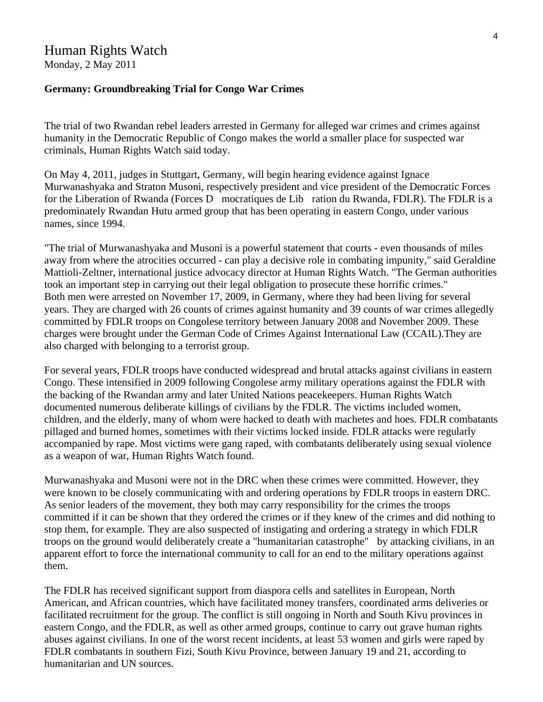## Human Rights Watch

Monday, 2 May 2011

#### **Germany: Groundbreaking Trial for Congo War Crimes**

The trial of two Rwandan rebel leaders arrested in Germany for alleged war crimes and crimes against humanity in the Democratic Republic of Congo makes the world a smaller place for suspected war criminals, Human Rights Watch said today.

On May 4, 2011, judges in Stuttgart, Germany, will begin hearing evidence against Ignace Murwanashyaka and Straton Musoni, respectively president and vice president of the Democratic Forces for the Liberation of Rwanda (Forces D mocratiques de Lib ration du Rwanda, FDLR). The FDLR is a predominately Rwandan Hutu armed group that has been operating in eastern Congo, under various names, since 1994.

"The trial of Murwanashyaka and Musoni is a powerful statement that courts - even thousands of miles away from where the atrocities occurred - can play a decisive role in combating impunity," said Geraldine Mattioli-Zeltner, international justice advocacy director at Human Rights Watch. "The German authorities took an important step in carrying out their legal obligation to prosecute these horrific crimes." Both men were arrested on November 17, 2009, in Germany, where they had been living for several years. They are charged with 26 counts of crimes against humanity and 39 counts of war crimes allegedly committed by FDLR troops on Congolese territory between January 2008 and November 2009. These charges were brought under the German Code of Crimes Against International Law (CCAIL).They are also charged with belonging to a terrorist group.

For several years, FDLR troops have conducted widespread and brutal attacks against civilians in eastern Congo. These intensified in 2009 following Congolese army military operations against the FDLR with the backing of the Rwandan army and later United Nations peacekeepers. Human Rights Watch documented numerous deliberate killings of civilians by the FDLR. The victims included women, children, and the elderly, many of whom were hacked to death with machetes and hoes. FDLR combatants pillaged and burned homes, sometimes with their victims locked inside. FDLR attacks were regularly accompanied by rape. Most victims were gang raped, with combatants deliberately using sexual violence as a weapon of war, Human Rights Watch found.

Murwanashyaka and Musoni were not in the DRC when these crimes were committed. However, they were known to be closely communicating with and ordering operations by FDLR troops in eastern DRC. As senior leaders of the movement, they both may carry responsibility for the crimes the troops committed if it can be shown that they ordered the crimes or if they knew of the crimes and did nothing to stop them, for example. They are also suspected of instigating and ordering a strategy in which FDLR troops on the ground would deliberately create a "humanitarian catastrophe" by attacking civilians, in an apparent effort to force the international community to call for an end to the military operations against them.

The FDLR has received significant support from diaspora cells and satellites in European, North American, and African countries, which have facilitated money transfers, coordinated arms deliveries or facilitated recruitment for the group. The conflict is still ongoing in North and South Kivu provinces in eastern Congo, and the FDLR, as well as other armed groups, continue to carry out grave human rights abuses against civilians. In one of the worst recent incidents, at least 53 women and girls were raped by FDLR combatants in southern Fizi, South Kivu Province, between January 19 and 21, according to humanitarian and UN sources.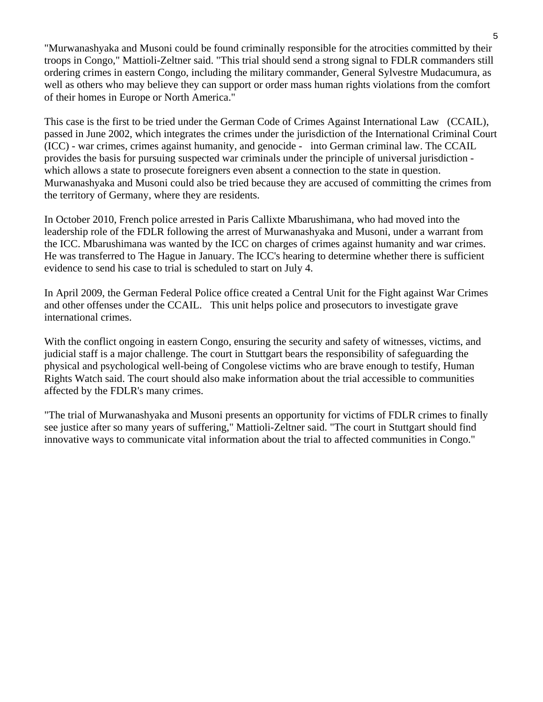"Murwanashyaka and Musoni could be found criminally responsible for the atrocities committed by their troops in Congo," Mattioli-Zeltner said. "This trial should send a strong signal to FDLR commanders still ordering crimes in eastern Congo, including the military commander, General Sylvestre Mudacumura, as well as others who may believe they can support or order mass human rights violations from the comfort of their homes in Europe or North America."

This case is the first to be tried under the German Code of Crimes Against International Law (CCAIL), passed in June 2002, which integrates the crimes under the jurisdiction of the International Criminal Court (ICC) - war crimes, crimes against humanity, and genocide - into German criminal law. The CCAIL provides the basis for pursuing suspected war criminals under the principle of universal jurisdiction which allows a state to prosecute foreigners even absent a connection to the state in question. Murwanashyaka and Musoni could also be tried because they are accused of committing the crimes from the territory of Germany, where they are residents.

In October 2010, French police arrested in Paris Callixte Mbarushimana, who had moved into the leadership role of the FDLR following the arrest of Murwanashyaka and Musoni, under a warrant from the ICC. Mbarushimana was wanted by the ICC on charges of crimes against humanity and war crimes. He was transferred to The Hague in January. The ICC's hearing to determine whether there is sufficient evidence to send his case to trial is scheduled to start on July 4.

In April 2009, the German Federal Police office created a Central Unit for the Fight against War Crimes and other offenses under the CCAIL. This unit helps police and prosecutors to investigate grave international crimes.

With the conflict ongoing in eastern Congo, ensuring the security and safety of witnesses, victims, and judicial staff is a major challenge. The court in Stuttgart bears the responsibility of safeguarding the physical and psychological well-being of Congolese victims who are brave enough to testify, Human Rights Watch said. The court should also make information about the trial accessible to communities affected by the FDLR's many crimes.

"The trial of Murwanashyaka and Musoni presents an opportunity for victims of FDLR crimes to finally see justice after so many years of suffering," Mattioli-Zeltner said. "The court in Stuttgart should find innovative ways to communicate vital information about the trial to affected communities in Congo."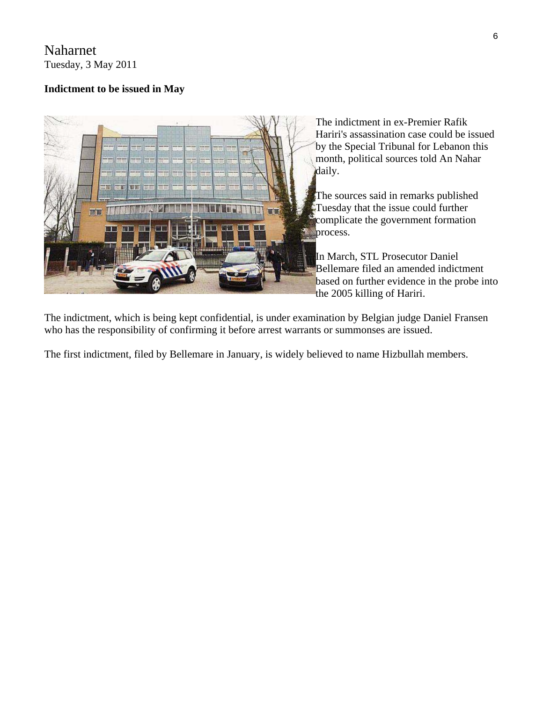## Naharnet Tuesday, 3 May 2011

## **Indictment to be issued in May**



The indictment in ex-Premier Rafik Hariri's assassination case could be issued by the Special Tribunal for Lebanon this month, political sources told An Nahar daily.

The sources said in remarks published Tuesday that the issue could further complicate the government formation process.

In March, STL Prosecutor Daniel Bellemare filed an amended indictment based on further evidence in the probe i nto the 2005 killing of Hariri.

The indictment, which is being kept confidential, is under examination by Belgian judge Daniel Fransen who has the responsibility of confirming it before arrest warrants or summonses are issued.

The first indictment, filed by Bellemare in January, is widely believed to name Hizbullah members.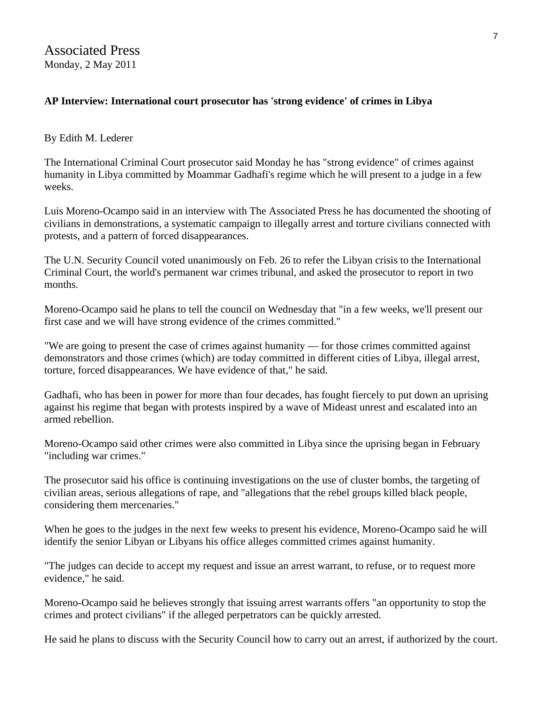### **AP Interview: International court prosecutor has 'strong evidence' of crimes in Libya**

#### By Edith M. Lederer

The International Criminal Court prosecutor said Monday he has "strong evidence" of crimes against humanity in Libya committed by Moammar Gadhafi's regime which he will present to a judge in a few weeks.

Luis Moreno-Ocampo said in an interview with The Associated Press he has documented the shooting of civilians in demonstrations, a systematic campaign to illegally arrest and torture civilians connected with protests, and a pattern of forced disappearances.

The U.N. Security Council voted unanimously on Feb. 26 to refer the Libyan crisis to the International Criminal Court, the world's permanent war crimes tribunal, and asked the prosecutor to report in two months.

Moreno-Ocampo said he plans to tell the council on Wednesday that "in a few weeks, we'll present our first case and we will have strong evidence of the crimes committed."

"We are going to present the case of crimes against humanity — for those crimes committed against demonstrators and those crimes (which) are today committed in different cities of Libya, illegal arrest, torture, forced disappearances. We have evidence of that," he said.

Gadhafi, who has been in power for more than four decades, has fought fiercely to put down an uprising against his regime that began with protests inspired by a wave of Mideast unrest and escalated into an armed rebellion.

Moreno-Ocampo said other crimes were also committed in Libya since the uprising began in February "including war crimes."

The prosecutor said his office is continuing investigations on the use of cluster bombs, the targeting of civilian areas, serious allegations of rape, and "allegations that the rebel groups killed black people, considering them mercenaries."

When he goes to the judges in the next few weeks to present his evidence, Moreno-Ocampo said he will identify the senior Libyan or Libyans his office alleges committed crimes against humanity.

"The judges can decide to accept my request and issue an arrest warrant, to refuse, or to request more evidence," he said.

Moreno-Ocampo said he believes strongly that issuing arrest warrants offers "an opportunity to stop the crimes and protect civilians" if the alleged perpetrators can be quickly arrested.

He said he plans to discuss with the Security Council how to carry out an arrest, if authorized by the court.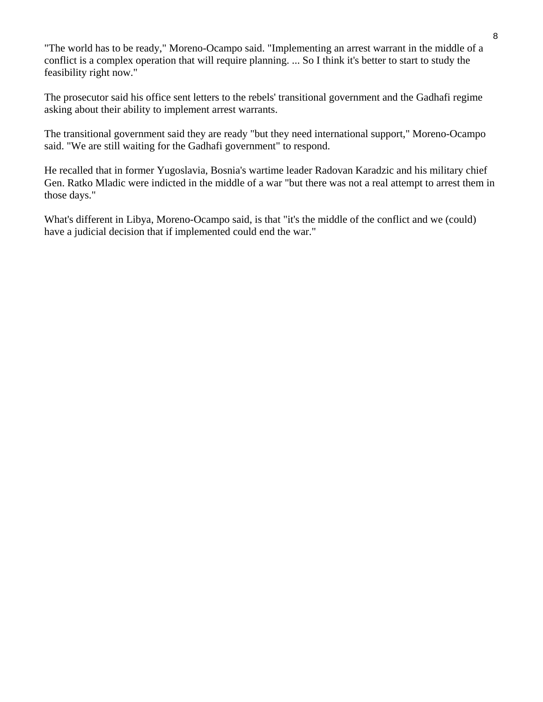"The world has to be ready," Moreno-Ocampo said. "Implementing an arrest warrant in the middle of a conflict is a complex operation that will require planning. ... So I think it's better to start to study the feasibility right now."

The prosecutor said his office sent letters to the rebels' transitional government and the Gadhafi regime asking about their ability to implement arrest warrants.

The transitional government said they are ready "but they need international support," Moreno-Ocampo said. "We are still waiting for the Gadhafi government" to respond.

He recalled that in former Yugoslavia, Bosnia's wartime leader Radovan Karadzic and his military chief Gen. Ratko Mladic were indicted in the middle of a war "but there was not a real attempt to arrest them in those days."

What's different in Libya, Moreno-Ocampo said, is that "it's the middle of the conflict and we (could) have a judicial decision that if implemented could end the war."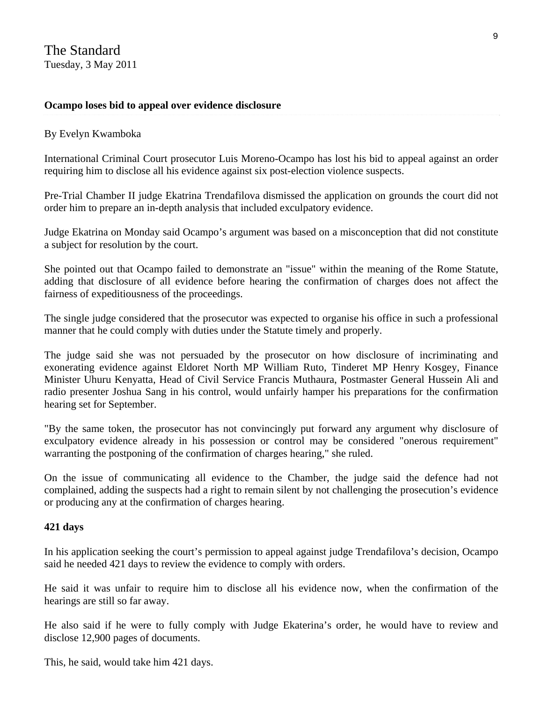#### **Ocampo loses bid to appeal over evidence disclosure**

#### By Evelyn Kwamboka

International Criminal Court prosecutor Luis Moreno-Ocampo has lost his bid to appeal against an order requiring him to disclose all his evidence against six post-election violence suspects.

Pre-Trial Chamber II judge Ekatrina Trendafilova dismissed the application on grounds the court did not order him to prepare an in-depth analysis that included exculpatory evidence.

Judge Ekatrina on Monday said Ocampo's argument was based on a misconception that did not constitute a subject for resolution by the court.

She pointed out that Ocampo failed to demonstrate an "issue" within the meaning of the Rome Statute, adding that disclosure of all evidence before hearing the confirmation of charges does not affect the fairness of expeditiousness of the proceedings.

The single judge considered that the prosecutor was expected to organise his office in such a professional manner that he could comply with duties under the Statute timely and properly.

The judge said she was not persuaded by the prosecutor on how disclosure of incriminating and exonerating evidence against Eldoret North MP William Ruto, Tinderet MP Henry Kosgey, Finance Minister Uhuru Kenyatta, Head of Civil Service Francis Muthaura, Postmaster General Hussein Ali and radio presenter Joshua Sang in his control, would unfairly hamper his preparations for the confirmation hearing set for September.

"By the same token, the prosecutor has not convincingly put forward any argument why disclosure of exculpatory evidence already in his possession or control may be considered "onerous requirement" warranting the postponing of the confirmation of charges hearing," she ruled.

On the issue of communicating all evidence to the Chamber, the judge said the defence had not complained, adding the suspects had a right to remain silent by not challenging the prosecution's evidence or producing any at the confirmation of charges hearing.

#### **421 days**

In his application seeking the court's permission to appeal against judge Trendafilova's decision, Ocampo said he needed 421 days to review the evidence to comply with orders.

He said it was unfair to require him to disclose all his evidence now, when the confirmation of the hearings are still so far away.

He also said if he were to fully comply with Judge Ekaterina's order, he would have to review and disclose 12,900 pages of documents.

This, he said, would take him 421 days.